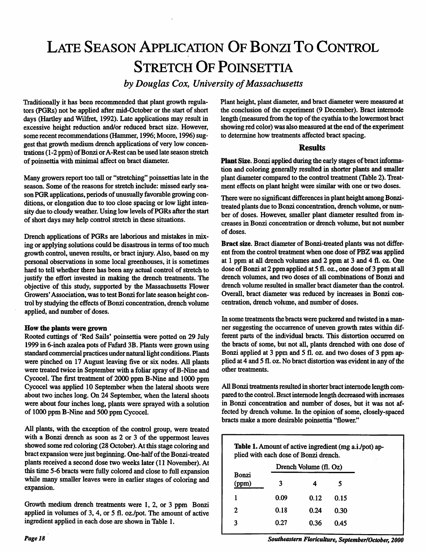# LATE SEASON APPLICATION OF BONZI TO CONTROL STRETCH OF POINSETTIA

*by Douglas Cox, University ofMassachusetts*

Traditionally it has been recommended that plant growth regula tors (PGRs) not be applied after mid-October or the start of short days (Hartley and Wilfret, 1992). Late applications may result in excessive height reduction and/or reduced bract size. However, some recent recommendations (Hammer, 1996; Moore, 1996) suggest that growth medium drench applications of very low concen trations (1-2 ppm) of Bonzi or A-Rest can be used late season stretch of poinsettia with minimal affect on bract diameter.

Many growers report too tall or "stretching" poinsettias late in the season. Some of the reasons for stretch include: missed early season PGR applications, periods of unusually favorable growing conditions, or elongation due to too close spacing or low light inten sity due to cloudy weather. Using low levels of PGRs after the start of short days may help control stretch in these situations.

Drench applications of PGRs are laborious and mistakes in mix ing or applying solutions could be disastrous in terms of too much growth control, uneven results, or bract injury. Also, based on my personal observations in some local greenhouses, it is sometimes hard to tell whether there has been any actual control of stretch to justify the effort invested in making the drench treatments. The objective of this study, supported by the Massachusetts Flower Growers' Association, was to test Bonzi for late season height control by studying the effects of Bonzi concentration, drench volume applied, and number of doses.

### *How the plants were grown*

Rooted cuttings of 'Red Sails' poinsettia were potted on 29 July 1999 in 6-inch azalea pots of Fafard 3B. Plants were grown using standard commercial practices under natural light conditions. Plants were pinched on 17 August leaving five or six nodes. All plants were treated twice in September with a foliar spray of B-Nine and Cycocel. The first treatment of 2000 ppm B-Nine and 1000 ppm Cycocel was applied 10 September when the lateral shoots were about two inches long. On 24 September, when the lateral shoots were about four inches long, plants were sprayed with a solution of 1000 ppm B-Nine and 500 ppm Cycocel.

All plants, with the exception of the control group, were treated with a Bonzi drench as soon as 2 or 3 of the uppermost leaves showed some red coloring (28 October). At this stage coloring and bract expansionwerejust beginning. One-half of the Bonzi-treated plants received a second dose two weeks later (11 November). At this time 5-6 bracts were fully coloredand close to full expansion while many smaller leaves were in earlier stages of coloring and expansion.

Growth medium drench treatments were 1, 2, or 3 ppm Bonzi applied in volumes of 3,4, or 5 fl. oz./pot. The amount of active ingredient applied in each dose are shown in Table 1.

Plant height, plant diameter, and bract diameter were measured at the conclusion of the experiment (9 December). Bract intemode length (measured from the top of the cyathia to the lowermost bract showing red color) was also measured at the end of the experiment to determine how treatments affected bract spacing.

## *Results*

*Plant* Size. Bonzi applied during the early stages of bract informa tion and coloring generally resulted in shorter plants and smaller plant diameter compared to the control treatment (Table 2). Treat ment effects on plant height were similar with one or two doses.

There were no significant differences in plant height among Bonzitreated plants due to Bonzi concentration, drench volume, or number of doses. However, smaller plant diameter resulted from in creases in Bonzi concentration or drench volume, but not number of doses.

*Bract* size. Bract diameter of Bonzi-treated plants was not differ ent from the control treatment when one dose of PBZ was applied at 1 ppm at all drench volumes and 2 ppm at 3 and 4 fl. oz. One dose of Bonzi at 2 ppm applied at 5 fl. oz., one dose of 3 ppm at all drench volumes, and two doses of all combinations of Bonzi and drench volume resulted in smaller bract diameter than the control. Overall, bract diameter was reduced by increases in Bonzi con centration, drench volume, and number of doses.

In some treatments the bracts were puckered and twisted in a man ner suggesting the occurrence of uneven growth rates within dif ferent parts of the individual bracts. This distortion occurred on the bracts of some, but not all, plants drenched with one dose of Bonzi applied at 3 ppm and 5 fl. oz. and two doses of 3 ppm ap plied at 4 and 5 fl. oz. No bract distortion was evident in any of the other treatments.

All Bonzi treatments resulted in shorter bract internode length compared to the control. Bract internode length decreased with increases in Bonzi concentration and number of doses, but it was not af fected by drench volume.In the opinion of some, closely-spaced bracts make a more desirable poinsettia "flower."

Table 1. Amount of active ingredient (mg a.i./pot) applied with each dose of Bonzi drench.

| Bonzi<br>3<br>(ppm)<br>5  |
|---------------------------|
| 0.09<br>1<br>0.12<br>0.15 |
| 0.18<br>2<br>0.24<br>0.30 |
| 0.27<br>3<br>0.36<br>0.45 |

**Southeastern Floriculture, September/October, 2000**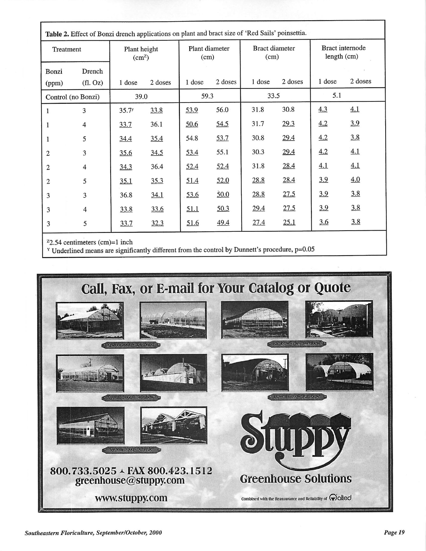| Table 2. Effect of Bonzi drench applications on plant and bract size of 'Red Sails' poinsettia. |                |                                    |         |                        |         |                               |         |                                |         |  |
|-------------------------------------------------------------------------------------------------|----------------|------------------------------------|---------|------------------------|---------|-------------------------------|---------|--------------------------------|---------|--|
| Treatment                                                                                       |                | Plant height<br>(cm <sup>2</sup> ) |         | Plant diameter<br>(cm) |         | <b>Bract</b> diameter<br>(cm) |         | Bract internode<br>length (cm) |         |  |
| Bonzi                                                                                           | Drench         |                                    |         |                        |         |                               |         |                                |         |  |
| (ppm)                                                                                           | (fl. Oz)       | 1 dose                             | 2 doses | 1 dose                 | 2 doses | 1 dose                        | 2 doses | 1 dose                         | 2 doses |  |
| Control (no Bonzi)                                                                              |                | 39.0                               |         | 59.3                   |         | 33.5                          |         | 5.1                            |         |  |
| 1                                                                                               | 3              | 35.7 <sup>y</sup>                  | 33.8    | 53.9                   | 56.0    | 31.8                          | 30.8    | 4.3                            | 4.1     |  |
| 1                                                                                               | $\overline{4}$ | 33.7                               | 36.1    | 50.6                   | 54.5    | 31.7                          | 29.3    | 4.2                            | 3.9     |  |
|                                                                                                 | 5              | 34.4                               | 35.4    | 54.8                   | 53.7    | 30.8                          | 29.4    | 4.2                            | 3.8     |  |
| 2                                                                                               | 3              | 35.6                               | 34.5    | 53.4                   | 55.1    | 30.3                          | 29.4    | 4.2                            | 4.1     |  |
| 2                                                                                               | $\overline{4}$ | 34.3                               | 36.4    | 52.4                   | 52.4    | 31.8                          | 28.4    | 4.1                            | 4.1     |  |
| 2                                                                                               | 5              | 35.1                               | 35.3    | 51.4                   | 52.0    | 28.8                          | 28.4    | 3.9                            | 4.0     |  |
| 3                                                                                               | 3              | 36.8                               | 34.1    | 53.6                   | 50.0    | 28.8                          | 27.5    | 3.9                            | 3.8     |  |
| 3                                                                                               | 4              | 33.8                               | 33.6    | 51.1                   | 50.3    | 29.4                          | 27.5    | 3.9                            | 3.8     |  |
| 3                                                                                               | 5              | 33.7                               | 32.3    | 51.6                   | 49.4    | 27.4                          | 25.1    | 3.6                            | 3.8     |  |

 $z_{2.54}$  centimeters (cm)=1 inch

<sup>Y</sup> Underlined means are significantly different from the control by Dunnett's procedure, p=0.05